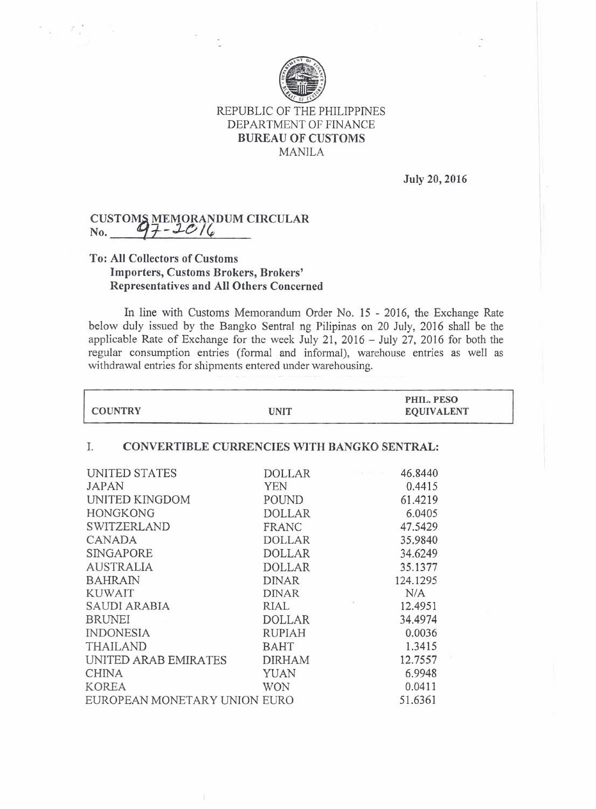

#### REPUBLIC OF THE PHILIPPINES DEPARTMENT OF FINANCE BUREAU OF CUSTOMS MANILA

July 20, 2016

# CUSTOMS MEMORANDUM CIRCULA<br>No. <u>47-10/4</u>

### To: All Collectors of Customs Importers, Customs Brokers, Brokers' Representatives and All Others Concerned

In line with Customs Memorandum Order No. 15 - 2016, the Exchange Rate below duly issued by the Bangko Sentral ng Pilipinas on 20 July, 2016 shall be the applicable Rate of Exchange for the week July 21, 2016 - July 27, 2016 for both the regular consumption entries (formal and informal), warehouse entries as well as withdrawal entries for shipments entered under warehousing.

| <b>COUNTRY</b>                                           | <b>UNIT</b>   | PHIL. PESO<br><b>EQUIVALENT</b> |  |
|----------------------------------------------------------|---------------|---------------------------------|--|
| <b>CONVERTIBLE CURRENCIES WITH BANGKO SENTRAL:</b><br>Ι. |               |                                 |  |
| UNITED STATES                                            | DOLLAR        | 46.8440                         |  |
| <b>JAPAN</b>                                             | YEN           | 0.4415                          |  |
| UNITED KINGDOM                                           | POUND         | 61.4219                         |  |
| <b>HONGKONG</b>                                          | <b>DOLLAR</b> | 6.0405                          |  |
| <b>SWITZERLAND</b>                                       | FRANC         | 47.5429                         |  |
| <b>CANADA</b>                                            | <b>DOLLAR</b> | 35,9840                         |  |
| <b>SINGAPORE</b>                                         | <b>DOLLAR</b> | 34.6249                         |  |
| <b>AUSTRALIA</b>                                         | <b>DOLLAR</b> | 35.1377                         |  |
| <b>BAHRAIN</b>                                           | <b>DINAR</b>  | 124.1295                        |  |
| <b>KUWAIT</b>                                            | <b>DINAR</b>  | N/A                             |  |
| SAUDI ARABIA                                             | RIAL          | 12.4951                         |  |
| <b>BRUNEI</b>                                            | <b>DOLLAR</b> | 34.4974                         |  |
| <b>INDONESIA</b>                                         | <b>RUPIAH</b> | 0.0036                          |  |
| <b>THAILAND</b>                                          | <b>BAHT</b>   | 1.3415                          |  |
| UNITED ARAB EMIRATES                                     | <b>DIRHAM</b> | 12.7557                         |  |
| <b>CHINA</b>                                             | YUAN          | 6.9948                          |  |
| <b>KOREA</b>                                             | <b>WON</b>    | 0.0411                          |  |
| EUROPEAN MONETARY UNION EURO                             |               | 51.6361                         |  |